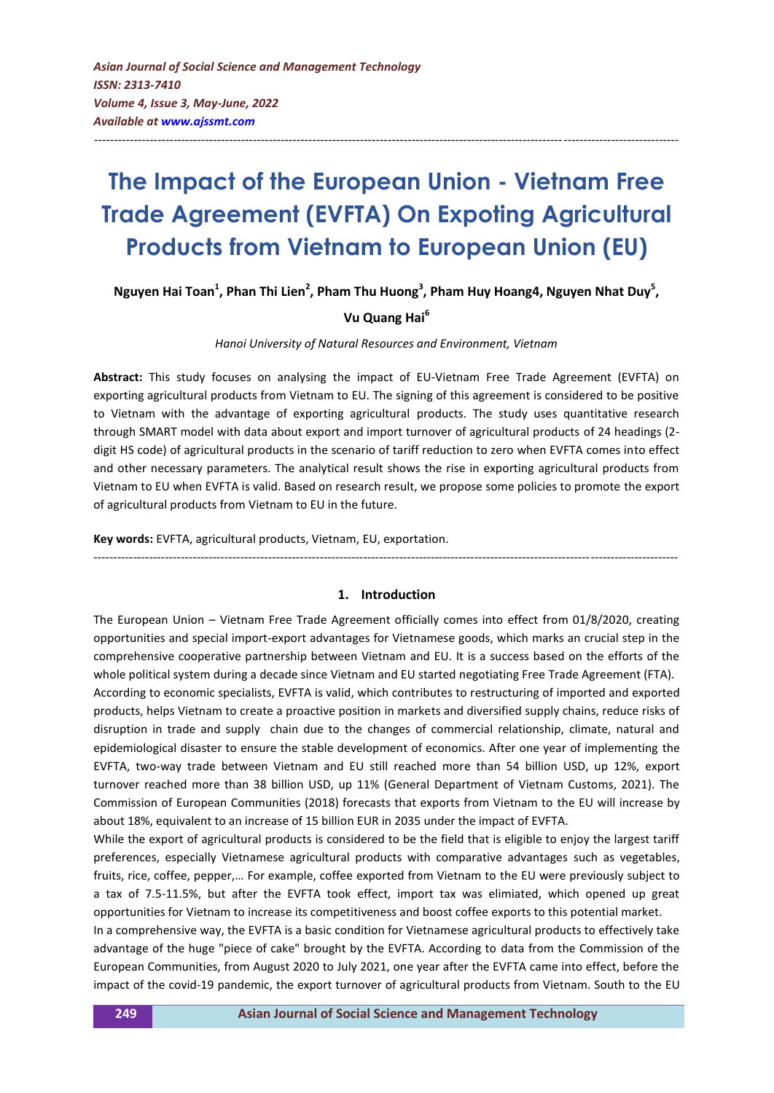# **The Impact of the European Union - Vietnam Free Trade Agreement (EVFTA) On Expoting Agricultural Products from Vietnam to European Union (EU)**

---------------------------------------------------------------------------------------------------------------------------------------------------

Nguyen Hai Toan<sup>1</sup>, Phan Thi Lien<sup>2</sup>, Pham Thu Huong<sup>3</sup>, Pham Huy Hoang4, Nguyen Nhat Duy<sup>5</sup>,

# **Vu Quang Hai<sup>6</sup>**

#### *Hanoi University of Natural Resources and Environment, Vietnam*

**Abstract:** This study focuses on analysing the impact of EU-Vietnam Free Trade Agreement (EVFTA) on exporting agricultural products from Vietnam to EU. The signing of this agreement is considered to be positive to Vietnam with the advantage of exporting agricultural products. The study uses quantitative research through SMART model with data about export and import turnover of agricultural products of 24 headings (2 digit HS code) of agricultural products in the scenario of tariff reduction to zero when EVFTA comes into effect and other necessary parameters. The analytical result shows the rise in exporting agricultural products from Vietnam to EU when EVFTA is valid. Based on research result, we propose some policies to promote the export of agricultural products from Vietnam to EU in the future.

**Key words:** EVFTA, agricultural products, Vietnam, EU, exportation.

# **1. Introduction**

---------------------------------------------------------------------------------------------------------------------------------------------------

The European Union – Vietnam Free Trade Agreement officially comes into effect from 01/8/2020, creating opportunities and special import-export advantages for Vietnamese goods, which marks an crucial step in the comprehensive cooperative partnership between Vietnam and EU. It is a success based on the efforts of the whole political system during a decade since Vietnam and EU started negotiating Free Trade Agreement (FTA).

According to economic specialists, EVFTA is valid, which contributes to restructuring of imported and exported products, helps Vietnam to create a proactive position in markets and diversified supply chains, reduce risks of disruption in trade and supply chain due to the changes of commercial relationship, climate, natural and epidemiological disaster to ensure the stable development of economics. After one year of implementing the EVFTA, two-way trade between Vietnam and EU still reached more than 54 billion USD, up 12%, export turnover reached more than 38 billion USD, up 11% (General Department of Vietnam Customs, 2021). The Commission of European Communities (2018) forecasts that exports from Vietnam to the EU will increase by about 18%, equivalent to an increase of 15 billion EUR in 2035 under the impact of EVFTA.

While the export of agricultural products is considered to be the field that is eligible to enjoy the largest tariff preferences, especially Vietnamese agricultural products with comparative advantages such as vegetables, fruits, rice, coffee, pepper,… For example, coffee exported from Vietnam to the EU were previously subject to a tax of 7.5-11.5%, but after the EVFTA took effect, import tax was elimiated, which opened up great opportunities for Vietnam to increase its competitiveness and boost coffee exports to this potential market.

In a comprehensive way, the EVFTA is a basic condition for Vietnamese agricultural products to effectively take advantage of the huge "piece of cake" brought by the EVFTA. According to data from the Commission of the European Communities, from August 2020 to July 2021, one year after the EVFTA came into effect, before the impact of the covid-19 pandemic, the export turnover of agricultural products from Vietnam. South to the EU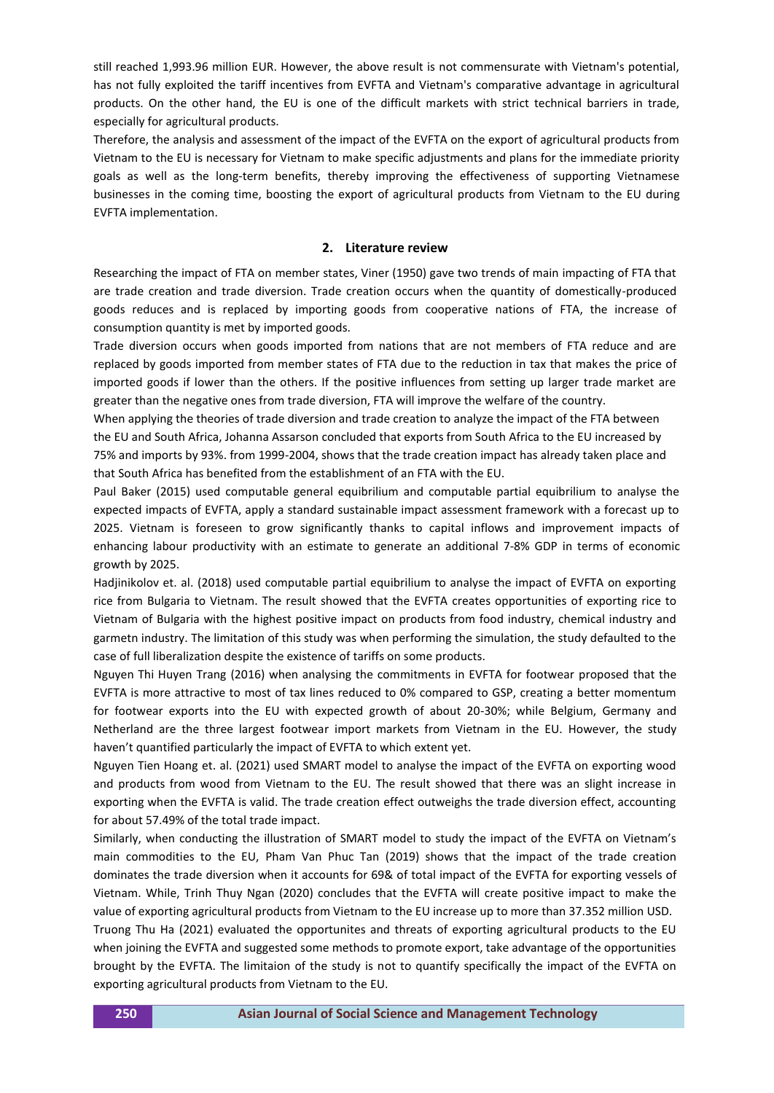still reached 1,993.96 million EUR. However, the above result is not commensurate with Vietnam's potential, has not fully exploited the tariff incentives from EVFTA and Vietnam's comparative advantage in agricultural products. On the other hand, the EU is one of the difficult markets with strict technical barriers in trade, especially for agricultural products.

Therefore, the analysis and assessment of the impact of the EVFTA on the export of agricultural products from Vietnam to the EU is necessary for Vietnam to make specific adjustments and plans for the immediate priority goals as well as the long-term benefits, thereby improving the effectiveness of supporting Vietnamese businesses in the coming time, boosting the export of agricultural products from Vietnam to the EU during EVFTA implementation.

## **2. Literature review**

Researching the impact of FTA on member states, Viner (1950) gave two trends of main impacting of FTA that are trade creation and trade diversion. Trade creation occurs when the quantity of domestically-produced goods reduces and is replaced by importing goods from cooperative nations of FTA, the increase of consumption quantity is met by imported goods.

Trade diversion occurs when goods imported from nations that are not members of FTA reduce and are replaced by goods imported from member states of FTA due to the reduction in tax that makes the price of imported goods if lower than the others. If the positive influences from setting up larger trade market are greater than the negative ones from trade diversion, FTA will improve the welfare of the country.

When applying the theories of trade diversion and trade creation to analyze the impact of the FTA between the EU and South Africa, Johanna Assarson concluded that exports from South Africa to the EU increased by 75% and imports by 93%. from 1999-2004, shows that the trade creation impact has already taken place and that South Africa has benefited from the establishment of an FTA with the EU.

Paul Baker (2015) used computable general equibrilium and computable partial equibrilium to analyse the expected impacts of EVFTA, apply a standard sustainable impact assessment framework with a forecast up to 2025. Vietnam is foreseen to grow significantly thanks to capital inflows and improvement impacts of enhancing labour productivity with an estimate to generate an additional 7-8% GDP in terms of economic growth by 2025.

Hadjinikolov et. al. (2018) used computable partial equibrilium to analyse the impact of EVFTA on exporting rice from Bulgaria to Vietnam. The result showed that the EVFTA creates opportunities of exporting rice to Vietnam of Bulgaria with the highest positive impact on products from food industry, chemical industry and garmetn industry. The limitation of this study was when performing the simulation, the study defaulted to the case of full liberalization despite the existence of tariffs on some products.

Nguyen Thi Huyen Trang (2016) when analysing the commitments in EVFTA for footwear proposed that the EVFTA is more attractive to most of tax lines reduced to 0% compared to GSP, creating a better momentum for footwear exports into the EU with expected growth of about 20-30%; while Belgium, Germany and Netherland are the three largest footwear import markets from Vietnam in the EU. However, the study haven't quantified particularly the impact of EVFTA to which extent yet.

Nguyen Tien Hoang et. al. (2021) used SMART model to analyse the impact of the EVFTA on exporting wood and products from wood from Vietnam to the EU. The result showed that there was an slight increase in exporting when the EVFTA is valid. The trade creation effect outweighs the trade diversion effect, accounting for about 57.49% of the total trade impact.

Similarly, when conducting the illustration of SMART model to study the impact of the EVFTA on Vietnam's main commodities to the EU, Pham Van Phuc Tan (2019) shows that the impact of the trade creation dominates the trade diversion when it accounts for 69& of total impact of the EVFTA for exporting vessels of Vietnam. While, Trinh Thuy Ngan (2020) concludes that the EVFTA will create positive impact to make the value of exporting agricultural products from Vietnam to the EU increase up to more than 37.352 million USD.

Truong Thu Ha (2021) evaluated the opportunites and threats of exporting agricultural products to the EU when joining the EVFTA and suggested some methods to promote export, take advantage of the opportunities brought by the EVFTA. The limitaion of the study is not to quantify specifically the impact of the EVFTA on exporting agricultural products from Vietnam to the EU.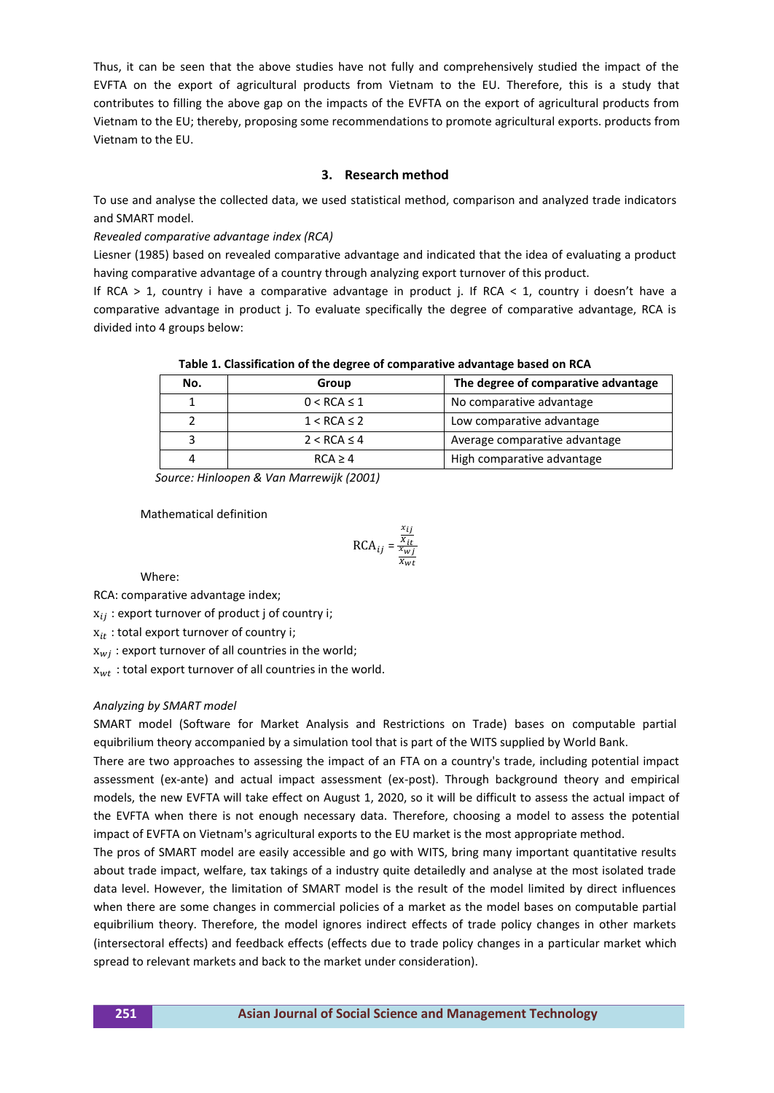Thus, it can be seen that the above studies have not fully and comprehensively studied the impact of the EVFTA on the export of agricultural products from Vietnam to the EU. Therefore, this is a study that contributes to filling the above gap on the impacts of the EVFTA on the export of agricultural products from Vietnam to the EU; thereby, proposing some recommendations to promote agricultural exports. products from Vietnam to the EU.

# **3. Research method**

To use and analyse the collected data, we used statistical method, comparison and analyzed trade indicators and SMART model.

# *Revealed comparative advantage index (RCA)*

Liesner (1985) based on revealed comparative advantage and indicated that the idea of evaluating a product having comparative advantage of a country through analyzing export turnover of this product.

If RCA  $> 1$ , country i have a comparative advantage in product j. If RCA  $< 1$ , country i doesn't have a comparative advantage in product j. To evaluate specifically the degree of comparative advantage, RCA is divided into 4 groups below:

| No. | Group            | The degree of comparative advantage |  |  |
|-----|------------------|-------------------------------------|--|--|
|     | $0 < RCA \leq 1$ | No comparative advantage            |  |  |
|     | $1 < RCA \leq 2$ | Low comparative advantage           |  |  |
|     | $2 < RCA \leq 4$ | Average comparative advantage       |  |  |
|     | RCA > 4          | High comparative advantage          |  |  |

**Table 1. Classification of the degree of comparative advantage based on RCA**

 *Source: Hinloopen & Van Marrewijk (2001)*

## Mathematical definition

$$
RCA_{ij} = \frac{\frac{x_{ij}}{x_{it}}}{\frac{x_{wj}}{x_{wt}}}
$$

Where:

RCA: comparative advantage index;

 $x_{ij}$ : export turnover of product j of country i;

 $x_{it}$ : total export turnover of country i;

 $x_{wi}$ : export turnover of all countries in the world;

 $x_{wt}$ : total export turnover of all countries in the world.

## *Analyzing by SMART model*

SMART model (Software for Market Analysis and Restrictions on Trade) bases on computable partial equibrilium theory accompanied by a simulation tool that is part of the WITS supplied by World Bank.

There are two approaches to assessing the impact of an FTA on a country's trade, including potential impact assessment (ex-ante) and actual impact assessment (ex-post). Through background theory and empirical models, the new EVFTA will take effect on August 1, 2020, so it will be difficult to assess the actual impact of the EVFTA when there is not enough necessary data. Therefore, choosing a model to assess the potential impact of EVFTA on Vietnam's agricultural exports to the EU market is the most appropriate method.

The pros of SMART model are easily accessible and go with WITS, bring many important quantitative results about trade impact, welfare, tax takings of a industry quite detailedly and analyse at the most isolated trade data level. However, the limitation of SMART model is the result of the model limited by direct influences when there are some changes in commercial policies of a market as the model bases on computable partial equibrilium theory. Therefore, the model ignores indirect effects of trade policy changes in other markets (intersectoral effects) and feedback effects (effects due to trade policy changes in a particular market which spread to relevant markets and back to the market under consideration).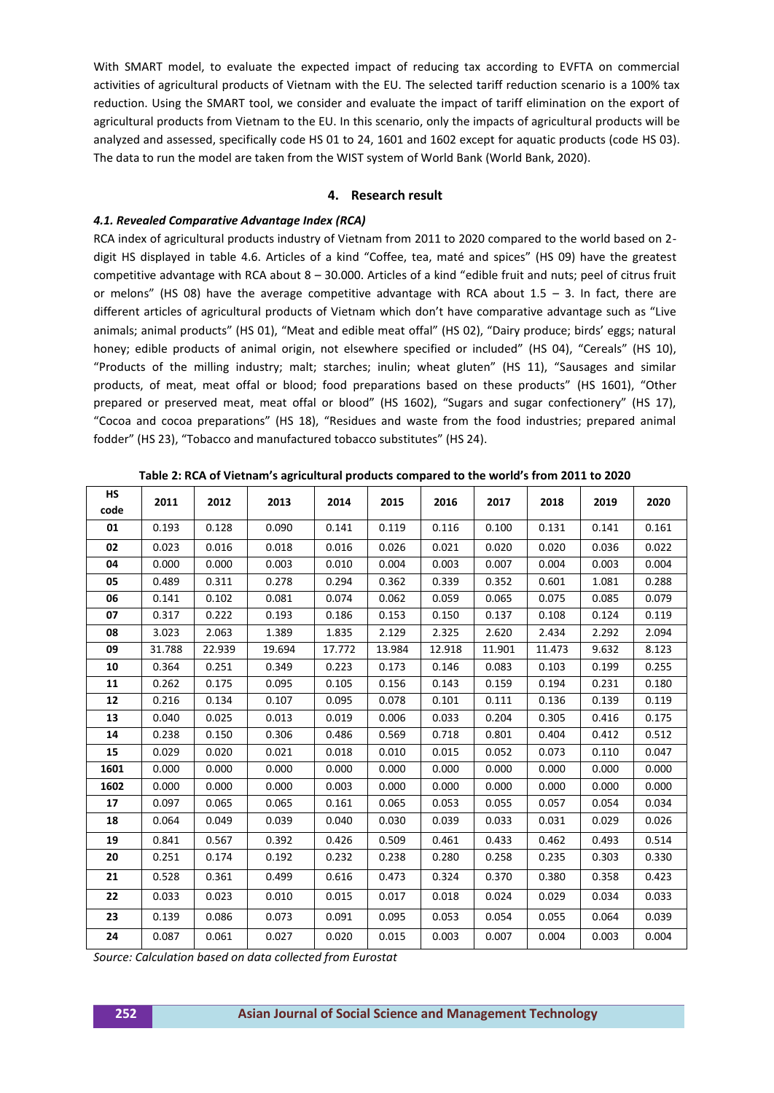With SMART model, to evaluate the expected impact of reducing tax according to EVFTA on commercial activities of agricultural products of Vietnam with the EU. The selected tariff reduction scenario is a 100% tax reduction. Using the SMART tool, we consider and evaluate the impact of tariff elimination on the export of agricultural products from Vietnam to the EU. In this scenario, only the impacts of agricultural products will be analyzed and assessed, specifically code HS 01 to 24, 1601 and 1602 except for aquatic products (code HS 03). The data to run the model are taken from the WIST system of World Bank (World Bank, 2020).

# **4. Research result**

## *4.1. Revealed Comparative Advantage Index (RCA)*

RCA index of agricultural products industry of Vietnam from 2011 to 2020 compared to the world based on 2 digit HS displayed in table 4.6. Articles of a kind "Coffee, tea, maté and spices" (HS 09) have the greatest competitive advantage with RCA about 8 – 30.000. Articles of a kind "edible fruit and nuts; peel of citrus fruit or melons" (HS 08) have the average competitive advantage with RCA about  $1.5 - 3$ . In fact, there are different articles of agricultural products of Vietnam which don't have comparative advantage such as "Live animals; animal products" (HS 01), "Meat and edible meat offal" (HS 02), "Dairy produce; birds' eggs; natural honey; edible products of animal origin, not elsewhere specified or included" (HS 04), "Cereals" (HS 10), "Products of the milling industry; malt; starches; inulin; wheat gluten" (HS 11), "Sausages and similar products, of meat, meat offal or blood; food preparations based on these products" (HS 1601), "Other prepared or preserved meat, meat offal or blood" (HS 1602), "Sugars and sugar confectionery" (HS 17), "Cocoa and cocoa preparations" (HS 18), "Residues and waste from the food industries; prepared animal fodder" (HS 23), "Tobacco and manufactured tobacco substitutes" (HS 24).

| <b>HS</b> | 2011   | 2012   | 2013   | 2014   | 2015   | 2016   | 2017   | 2018   | 2019  | 2020  |
|-----------|--------|--------|--------|--------|--------|--------|--------|--------|-------|-------|
| code      |        |        |        |        |        |        |        |        |       |       |
| 01        | 0.193  | 0.128  | 0.090  | 0.141  | 0.119  | 0.116  | 0.100  | 0.131  | 0.141 | 0.161 |
| 02        | 0.023  | 0.016  | 0.018  | 0.016  | 0.026  | 0.021  | 0.020  | 0.020  | 0.036 | 0.022 |
| 04        | 0.000  | 0.000  | 0.003  | 0.010  | 0.004  | 0.003  | 0.007  | 0.004  | 0.003 | 0.004 |
| 05        | 0.489  | 0.311  | 0.278  | 0.294  | 0.362  | 0.339  | 0.352  | 0.601  | 1.081 | 0.288 |
| 06        | 0.141  | 0.102  | 0.081  | 0.074  | 0.062  | 0.059  | 0.065  | 0.075  | 0.085 | 0.079 |
| 07        | 0.317  | 0.222  | 0.193  | 0.186  | 0.153  | 0.150  | 0.137  | 0.108  | 0.124 | 0.119 |
| 08        | 3.023  | 2.063  | 1.389  | 1.835  | 2.129  | 2.325  | 2.620  | 2.434  | 2.292 | 2.094 |
| 09        | 31.788 | 22.939 | 19.694 | 17.772 | 13.984 | 12.918 | 11.901 | 11.473 | 9.632 | 8.123 |
| 10        | 0.364  | 0.251  | 0.349  | 0.223  | 0.173  | 0.146  | 0.083  | 0.103  | 0.199 | 0.255 |
| 11        | 0.262  | 0.175  | 0.095  | 0.105  | 0.156  | 0.143  | 0.159  | 0.194  | 0.231 | 0.180 |
| 12        | 0.216  | 0.134  | 0.107  | 0.095  | 0.078  | 0.101  | 0.111  | 0.136  | 0.139 | 0.119 |
| 13        | 0.040  | 0.025  | 0.013  | 0.019  | 0.006  | 0.033  | 0.204  | 0.305  | 0.416 | 0.175 |
| 14        | 0.238  | 0.150  | 0.306  | 0.486  | 0.569  | 0.718  | 0.801  | 0.404  | 0.412 | 0.512 |
| 15        | 0.029  | 0.020  | 0.021  | 0.018  | 0.010  | 0.015  | 0.052  | 0.073  | 0.110 | 0.047 |
| 1601      | 0.000  | 0.000  | 0.000  | 0.000  | 0.000  | 0.000  | 0.000  | 0.000  | 0.000 | 0.000 |
| 1602      | 0.000  | 0.000  | 0.000  | 0.003  | 0.000  | 0.000  | 0.000  | 0.000  | 0.000 | 0.000 |
| 17        | 0.097  | 0.065  | 0.065  | 0.161  | 0.065  | 0.053  | 0.055  | 0.057  | 0.054 | 0.034 |
| 18        | 0.064  | 0.049  | 0.039  | 0.040  | 0.030  | 0.039  | 0.033  | 0.031  | 0.029 | 0.026 |
| 19        | 0.841  | 0.567  | 0.392  | 0.426  | 0.509  | 0.461  | 0.433  | 0.462  | 0.493 | 0.514 |
| 20        | 0.251  | 0.174  | 0.192  | 0.232  | 0.238  | 0.280  | 0.258  | 0.235  | 0.303 | 0.330 |
| 21        | 0.528  | 0.361  | 0.499  | 0.616  | 0.473  | 0.324  | 0.370  | 0.380  | 0.358 | 0.423 |
| 22        | 0.033  | 0.023  | 0.010  | 0.015  | 0.017  | 0.018  | 0.024  | 0.029  | 0.034 | 0.033 |
| 23        | 0.139  | 0.086  | 0.073  | 0.091  | 0.095  | 0.053  | 0.054  | 0.055  | 0.064 | 0.039 |
| 24        | 0.087  | 0.061  | 0.027  | 0.020  | 0.015  | 0.003  | 0.007  | 0.004  | 0.003 | 0.004 |

**Table 2: RCA of Vietnam's agricultural products compared to the world's from 2011 to 2020**

*Source: Calculation based on data collected from Eurostat*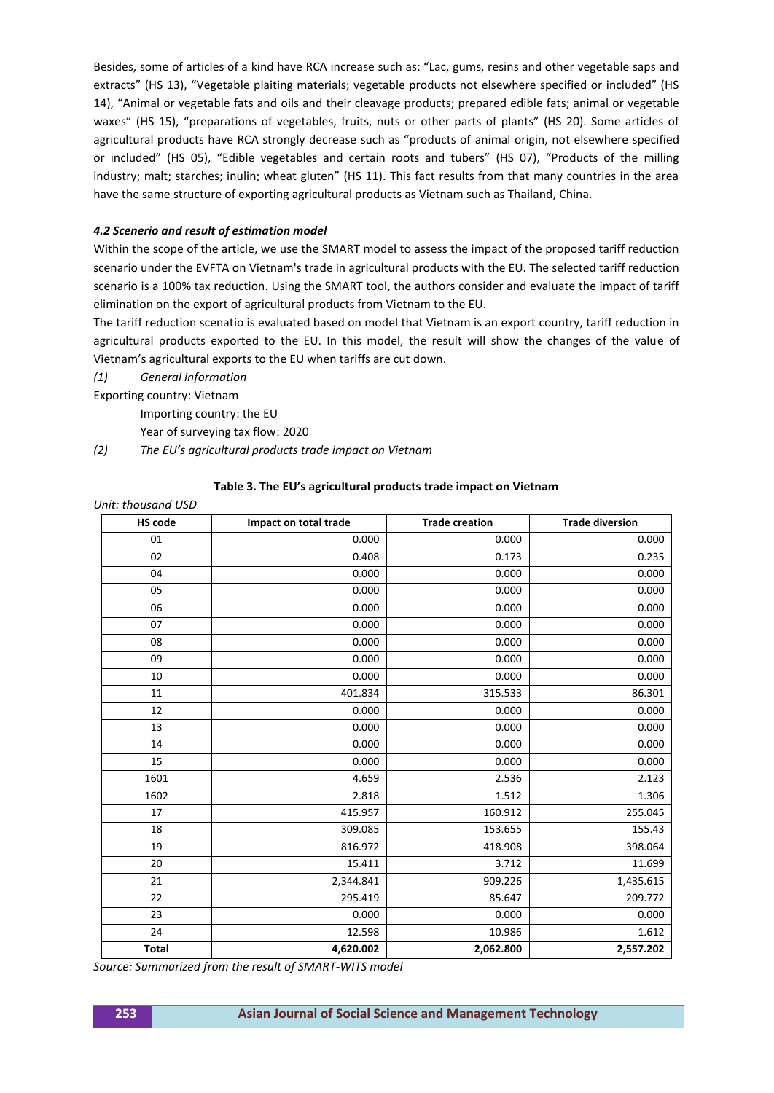Besides, some of articles of a kind have RCA increase such as: "Lac, gums, resins and other vegetable saps and extracts" (HS 13), "Vegetable plaiting materials; vegetable products not elsewhere specified or included" (HS 14), "Animal or vegetable fats and oils and their cleavage products; prepared edible fats; animal or vegetable waxes" (HS 15), "preparations of vegetables, fruits, nuts or other parts of plants" (HS 20). Some articles of agricultural products have RCA strongly decrease such as "products of animal origin, not elsewhere specified or included" (HS 05), "Edible vegetables and certain roots and tubers" (HS 07), "Products of the milling industry; malt; starches; inulin; wheat gluten" (HS 11). This fact results from that many countries in the area have the same structure of exporting agricultural products as Vietnam such as Thailand, China.

# *4.2 Scenerio and result of estimation model*

Within the scope of the article, we use the SMART model to assess the impact of the proposed tariff reduction scenario under the EVFTA on Vietnam's trade in agricultural products with the EU. The selected tariff reduction scenario is a 100% tax reduction. Using the SMART tool, the authors consider and evaluate the impact of tariff elimination on the export of agricultural products from Vietnam to the EU.

The tariff reduction scenatio is evaluated based on model that Vietnam is an export country, tariff reduction in agricultural products exported to the EU. In this model, the result will show the changes of the value of Vietnam's agricultural exports to the EU when tariffs are cut down.

*(1) General information*

Exporting country: Vietnam

Importing country: the EU

Year of surveying tax flow: 2020

*(2) The EU's agricultural products trade impact on Vietnam*

## **Table 3. The EU's agricultural products trade impact on Vietnam**

| <b>HS code</b> | Impact on total trade | <b>Trade creation</b> | <b>Trade diversion</b>  |
|----------------|-----------------------|-----------------------|-------------------------|
| 01             | 0.000                 | 0.000                 | 0.000                   |
| 02             | 0.408                 | 0.173                 | 0.235                   |
| 04             | 0.000                 | 0.000                 | 0.000                   |
| 05             | 0.000                 | 0.000                 | 0.000                   |
| 06             | 0.000                 | 0.000                 | 0.000                   |
| 07             | 0.000                 | 0.000<br>0.000        | 0.000<br>0.000<br>0.000 |
| 08             | 0.000                 |                       |                         |
| 09             | 0.000                 | 0.000                 |                         |
| 10             | 0.000                 | 0.000                 | 0.000                   |
| 11             | 401.834               | 315.533               | 86.301                  |
| 12             | 0.000                 | 0.000                 | 0.000                   |
| 13             | 0.000                 | 0.000                 | 0.000                   |
| 14             | 0.000                 | 0.000                 | 0.000                   |
| 15             | 0.000                 | 0.000                 | 0.000                   |
| 1601           | 4.659                 | 2.536                 | 2.123                   |
| 1602           | 2.818                 | 1.512                 | 1.306                   |
| 17             | 415.957               | 160.912               | 255.045                 |
| 18             | 309.085               | 153.655               | 155.43                  |
| 19             | 816.972               | 418.908               | 398.064                 |
| 20             | 15.411                | 3.712                 | 11.699                  |
| 21             | 2,344.841             | 909.226               | 1,435.615               |
| 22             | 295.419               | 85.647                | 209.772                 |
| 23             | 0.000                 | 0.000                 | 0.000                   |
| 24             | 12.598                | 10.986                | 1.612                   |
| <b>Total</b>   | 4,620.002             | 2,062.800             | 2,557.202               |

## *Unit: thousand USD*

*Source: Summarized from the result of SMART-WITS model*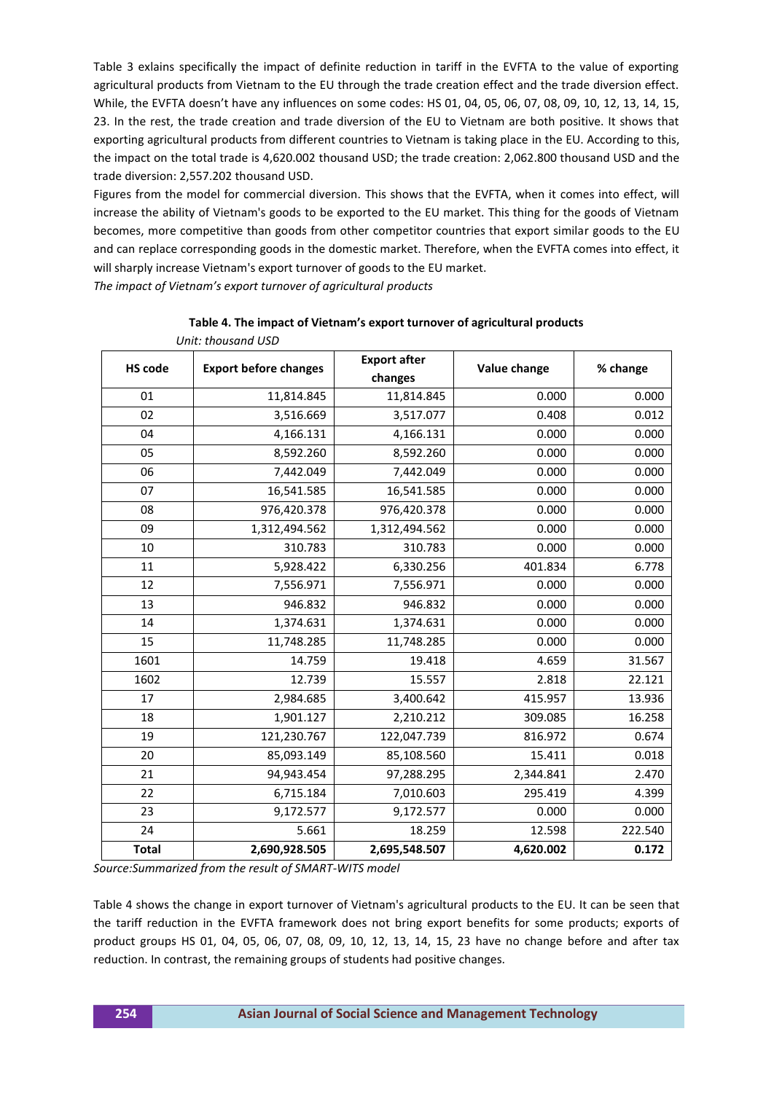Table 3 exlains specifically the impact of definite reduction in tariff in the EVFTA to the value of exporting agricultural products from Vietnam to the EU through the trade creation effect and the trade diversion effect. While, the EVFTA doesn't have any influences on some codes: HS 01, 04, 05, 06, 07, 08, 09, 10, 12, 13, 14, 15, 23. In the rest, the trade creation and trade diversion of the EU to Vietnam are both positive. It shows that exporting agricultural products from different countries to Vietnam is taking place in the EU. According to this, the impact on the total trade is 4,620.002 thousand USD; the trade creation: 2,062.800 thousand USD and the trade diversion: 2,557.202 thousand USD.

Figures from the model for commercial diversion. This shows that the EVFTA, when it comes into effect, will increase the ability of Vietnam's goods to be exported to the EU market. This thing for the goods of Vietnam becomes, more competitive than goods from other competitor countries that export similar goods to the EU and can replace corresponding goods in the domestic market. Therefore, when the EVFTA comes into effect, it will sharply increase Vietnam's export turnover of goods to the EU market.

*The impact of Vietnam's export turnover of agricultural products*

 *Unit: thousand USD*

| onn. mousunu oso |                              |                                |              |          |  |  |  |  |
|------------------|------------------------------|--------------------------------|--------------|----------|--|--|--|--|
| <b>HS code</b>   | <b>Export before changes</b> | <b>Export after</b><br>changes | Value change | % change |  |  |  |  |
| 01               | 11,814.845                   | 11,814.845                     | 0.000        | 0.000    |  |  |  |  |
| 02               | 3,516.669                    | 3,517.077                      | 0.408        | 0.012    |  |  |  |  |
| 04               | 4,166.131                    | 4,166.131                      | 0.000        | 0.000    |  |  |  |  |
| 05               | 8,592.260                    | 8,592.260                      | 0.000        | 0.000    |  |  |  |  |
| 06               | 7,442.049                    | 7,442.049                      | 0.000        | 0.000    |  |  |  |  |
| 07               | 16,541.585                   | 16,541.585                     | 0.000        | 0.000    |  |  |  |  |
| 08               | 976,420.378                  | 976,420.378                    | 0.000        | 0.000    |  |  |  |  |
| 09               | 1,312,494.562                | 1,312,494.562                  | 0.000        | 0.000    |  |  |  |  |
| 10               | 310.783                      | 310.783                        | 0.000        | 0.000    |  |  |  |  |
| 11               | 5,928.422                    | 6,330.256                      | 401.834      | 6.778    |  |  |  |  |
| 12               | 7,556.971                    | 7,556.971                      | 0.000        | 0.000    |  |  |  |  |
| 13               | 946.832                      | 946.832                        | 0.000        | 0.000    |  |  |  |  |
| 14               | 1,374.631                    | 1,374.631                      | 0.000        | 0.000    |  |  |  |  |
| 15               | 11,748.285                   | 11,748.285                     | 0.000        | 0.000    |  |  |  |  |
| 1601             | 14.759                       | 19.418                         | 4.659        | 31.567   |  |  |  |  |
| 1602             | 12.739                       | 15.557                         | 2.818        | 22.121   |  |  |  |  |
| 17               | 2,984.685                    | 3,400.642                      | 415.957      | 13.936   |  |  |  |  |
| 18               | 1,901.127                    | 2,210.212                      | 309.085      | 16.258   |  |  |  |  |
| 19               | 121,230.767                  | 122,047.739                    | 816.972      | 0.674    |  |  |  |  |
| 20               | 85,093.149                   | 85,108.560                     | 15.411       | 0.018    |  |  |  |  |
| 21               | 94,943.454                   | 97,288.295                     | 2,344.841    | 2.470    |  |  |  |  |
| 22               | 6,715.184                    | 7,010.603                      | 295.419      | 4.399    |  |  |  |  |
| 23               | 9,172.577                    | 9,172.577                      | 0.000        | 0.000    |  |  |  |  |
| 24               | 5.661                        | 18.259                         | 12.598       | 222.540  |  |  |  |  |
| <b>Total</b>     | 2,690,928.505                | 2,695,548.507                  | 4,620.002    | 0.172    |  |  |  |  |

**Table 4. The impact of Vietnam's export turnover of agricultural products**

*Source:Summarized from the result of SMART-WITS model*

Table 4 shows the change in export turnover of Vietnam's agricultural products to the EU. It can be seen that the tariff reduction in the EVFTA framework does not bring export benefits for some products; exports of product groups HS 01, 04, 05, 06, 07, 08, 09, 10, 12, 13, 14, 15, 23 have no change before and after tax reduction. In contrast, the remaining groups of students had positive changes.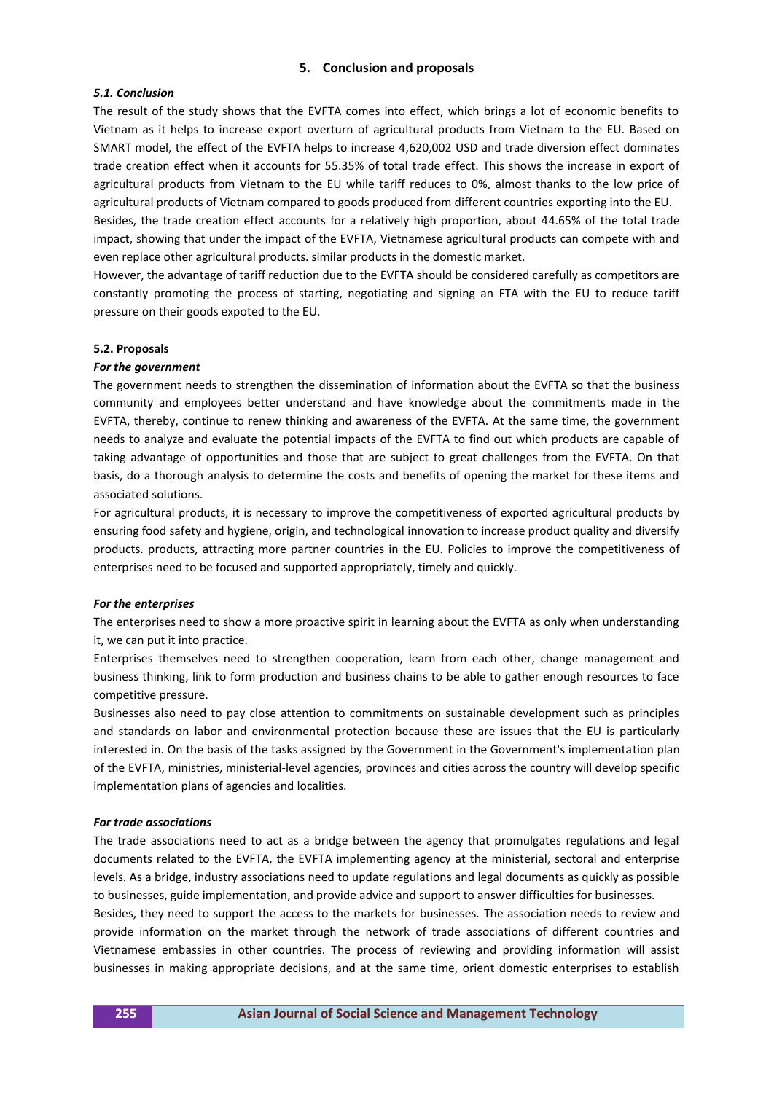# **5. Conclusion and proposals**

## *5.1. Conclusion*

The result of the study shows that the EVFTA comes into effect, which brings a lot of economic benefits to Vietnam as it helps to increase export overturn of agricultural products from Vietnam to the EU. Based on SMART model, the effect of the EVFTA helps to increase 4,620,002 USD and trade diversion effect dominates trade creation effect when it accounts for 55.35% of total trade effect. This shows the increase in export of agricultural products from Vietnam to the EU while tariff reduces to 0%, almost thanks to the low price of agricultural products of Vietnam compared to goods produced from different countries exporting into the EU. Besides, the trade creation effect accounts for a relatively high proportion, about 44.65% of the total trade

impact, showing that under the impact of the EVFTA, Vietnamese agricultural products can compete with and even replace other agricultural products. similar products in the domestic market.

However, the advantage of tariff reduction due to the EVFTA should be considered carefully as competitors are constantly promoting the process of starting, negotiating and signing an FTA with the EU to reduce tariff pressure on their goods expoted to the EU.

#### **5.2. Proposals**

#### *For the government*

The government needs to strengthen the dissemination of information about the EVFTA so that the business community and employees better understand and have knowledge about the commitments made in the EVFTA, thereby, continue to renew thinking and awareness of the EVFTA. At the same time, the government needs to analyze and evaluate the potential impacts of the EVFTA to find out which products are capable of taking advantage of opportunities and those that are subject to great challenges from the EVFTA. On that basis, do a thorough analysis to determine the costs and benefits of opening the market for these items and associated solutions.

For agricultural products, it is necessary to improve the competitiveness of exported agricultural products by ensuring food safety and hygiene, origin, and technological innovation to increase product quality and diversify products. products, attracting more partner countries in the EU. Policies to improve the competitiveness of enterprises need to be focused and supported appropriately, timely and quickly.

#### *For the enterprises*

The enterprises need to show a more proactive spirit in learning about the EVFTA as only when understanding it, we can put it into practice.

Enterprises themselves need to strengthen cooperation, learn from each other, change management and business thinking, link to form production and business chains to be able to gather enough resources to face competitive pressure.

Businesses also need to pay close attention to commitments on sustainable development such as principles and standards on labor and environmental protection because these are issues that the EU is particularly interested in. On the basis of the tasks assigned by the Government in the Government's implementation plan of the EVFTA, ministries, ministerial-level agencies, provinces and cities across the country will develop specific implementation plans of agencies and localities.

#### *For trade associations*

The trade associations need to act as a bridge between the agency that promulgates regulations and legal documents related to the EVFTA, the EVFTA implementing agency at the ministerial, sectoral and enterprise levels. As a bridge, industry associations need to update regulations and legal documents as quickly as possible to businesses, guide implementation, and provide advice and support to answer difficulties for businesses.

Besides, they need to support the access to the markets for businesses. The association needs to review and provide information on the market through the network of trade associations of different countries and Vietnamese embassies in other countries. The process of reviewing and providing information will assist businesses in making appropriate decisions, and at the same time, orient domestic enterprises to establish